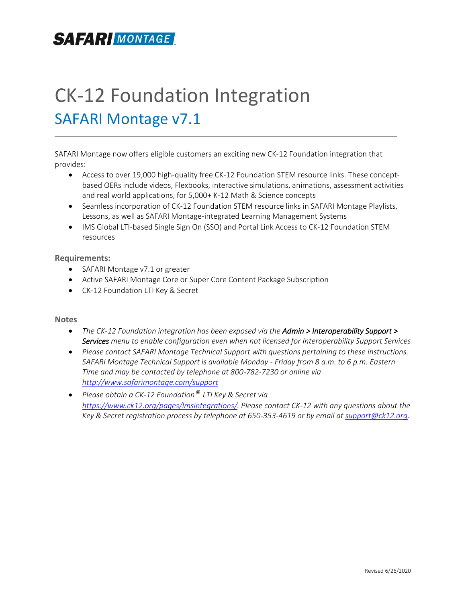## **SAFARIMONTAGE**

# CK-12 Foundation Integration SAFARI Montage v7.1

SAFARI Montage now offers eligible customers an exciting new CK-12 Foundation integration that provides:

- Access to over 19,000 high-quality free CK-12 Foundation STEM resource links. These conceptbased OERs include videos, Flexbooks, interactive simulations, animations, assessment activities and real world applications, for 5,000+ K-12 Math & Science concepts
- Seamless incorporation of CK-12 Foundation STEM resource links in SAFARI Montage Playlists, Lessons, as well as SAFARI Montage-integrated Learning Management Systems
- IMS Global LTI-based Single Sign On (SSO) and Portal Link Access to CK-12 Foundation STEM resources

#### **Requirements:**

- SAFARI Montage v7.1 or greater
- Active SAFARI Montage Core or Super Core Content Package Subscription
- CK-12 Foundation LTI Key & Secret

#### **Notes**

- *The CK-12 Foundation integration has been exposed via the Admin > Interoperability Support > Services menu to enable configuration even when not licensed for Interoperability Support Services*
- *Please contact SAFARI Montage Technical Support with questions pertaining to these instructions. SAFARI Montage Technical Support is available Monday - Friday from 8 a.m. to 6 p.m. Eastern Time and may be contacted by telephone at 800-782-7230 or online via <http://www.safarimontage.com/support>*
- *Please obtain a CK-12 Foundation® LTI Key & Secret via [https://www.ck12.org/pages/lmsintegrations/.](https://www.ck12.org/pages/lmsintegrations/) Please contact CK-12 with any questions about the Key & Secret registration process by telephone at 650-353-4619 or by email a[t support@ck12.org.](mailto:support@ck12.org)*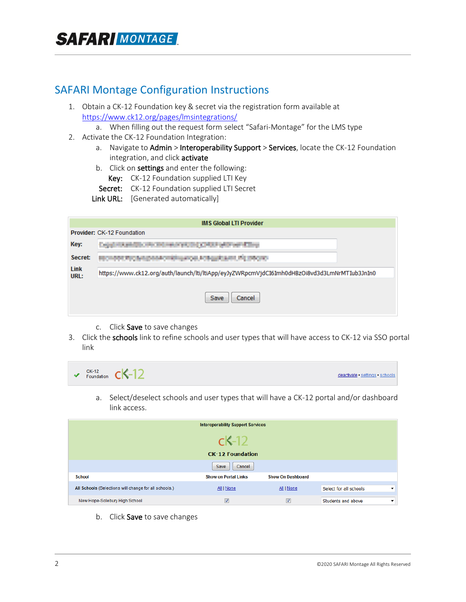### SAFARI Montage Configuration Instructions

- 1. Obtain a CK-12 Foundation key & secret via the registration form available at <https://www.ck12.org/pages/lmsintegrations/>
	- a. When filling out the request form select "Safari-Montage" for the LMS type
- 2. Activate the CK-12 Foundation Integration:
	- a. Navigate to Admin > Interoperability Support > Services, locate the CK-12 Foundation integration, and click activate
	- b. Click on settings and enter the following:
		- Key: CK-12 Foundation supplied LTI Key
	- Secret: CK-12 Foundation supplied LTI Secret
	- Link URL: [Generated automatically]

| <b>IMS Global LTI Provider</b> |                                                                                             |  |  |  |  |
|--------------------------------|---------------------------------------------------------------------------------------------|--|--|--|--|
| Provider: CK-12 Foundation     |                                                                                             |  |  |  |  |
| Key:                           | <b>AND REAL PROPERTY AND INCOME.</b><br><b>CONTRACTOR</b>                                   |  |  |  |  |
| Secret:                        |                                                                                             |  |  |  |  |
| Link<br>URL:                   | https://www.ck12.org/auth/launch/lti/ltiApp/eyJyZWRpcmVjdCI6Imh0dHBzOi8vd3d3LmNrMTIub3JnIn0 |  |  |  |  |
|                                | Save<br>Cancel                                                                              |  |  |  |  |

- c. Click Save to save changes
- 3. Click the schools link to refine schools and user types that will have access to CK-12 via SSO portal link



a. Select/deselect schools and user types that will have a CK-12 portal and/or dashboard link access.

| <b>Interoperability Support Services</b>              |                             |                          |                                                    |  |  |
|-------------------------------------------------------|-----------------------------|--------------------------|----------------------------------------------------|--|--|
|                                                       | $c$ K-12                    |                          |                                                    |  |  |
|                                                       | <b>CK-12 Foundation</b>     |                          |                                                    |  |  |
|                                                       | Cancel<br>Save              |                          |                                                    |  |  |
| <b>School</b>                                         | <b>Show on Portal Links</b> | <b>Show On Dashboard</b> |                                                    |  |  |
| All Schools (Selections will change for all schools.) | All   None                  | All   None               | Select for all schools<br>$\overline{\phantom{a}}$ |  |  |
| New Hope-Solebury High School                         | $\overline{\mathbf{v}}$     | $\overline{\mathbf{v}}$  | Students and above<br>$\overline{\phantom{a}}$     |  |  |

b. Click Save to save changes